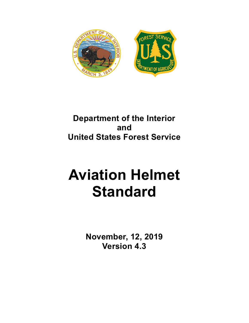

### **Department of the Interior and United States Forest Service**

# **Aviation Helmet Standard**

**November, 12, 2019 Version 4.3**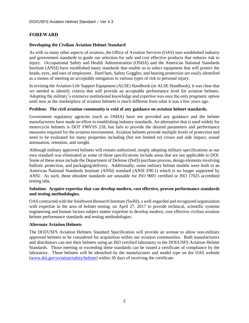#### <span id="page-1-0"></span>**FOREWARD**

#### **Developing the Civilian Aviation Helmet Standard**

As with so many other aspects of aviation, the Office of Aviation Services (OAS) uses established industry and government standards to guide our selection for safe and cost effective products that reduces risk to injury. Occupational Safety and Health Administration (OSHA) and the American National Standards Institute (ANSI) have established many standards that enable us to select equipment that will protect the heads, eyes, and ears of employees. Hard hats, Safety Goggles, and hearing protection are easily identified as a means of meeting an acceptable mitigation to various types of risk to personal injury.

In revising the Aviation Life Support Equipment (ALSE) Handbook (or ALSE Handbook), it was clear that we needed to identify criteria that will provide an acceptable performance level for aviation helmets. Adopting the military's extensive institutional knowledge and expertise was once the only pragmatic option until now as the marketplace of aviation helmets is much different from what it was a few years ago.

#### **Problem: The civil aviation community is void of any guidance on aviation helmet standards.**

Government regulatory agencies (such as OSHA) have not provided any guidance and the helmet manufacturers have made no effort in establishing industry standards. An alternative that is used widely for motorcycle helmets is DOT FMVSS 218, but fails to provide the desired parameters and performance measures required for the aviation environment. Aviation helmets provide multiple levels of protection and need to be evaluated for many properties including (but not limited to) crown and side impact, sound attenuation, retention, and weight.

Although military approved helmets will remain authorized, simply adopting military specifications as our own standard was eliminated as some of those specifications include areas that are not applicable to DOI. Some of these areas include the Department of Defense (DoD) purchase process, design elements involving ballistic protection, and packaging/delivery. Additionally, some military helmet models were built to an American National Standards Institute (ANSI) standard (ANSI Z90.1) which is no longer supported by ANSI. As such, these obsolete standards are unusable for ISO 9001 certified or ISO 17025 accredited testing labs.

#### **Solution: Acquire expertise that can develop modern, cost effective, proven performance standards and testing methodologies.**

OAS contracted with the Southwest Research Institute (SwRI), a well-regarded and recognized organization with expertise in the area of helmet testing, on April 27, 2017 to provide technical, scientific systems engineering and human factors subject matter expertise to develop modern, cost effective civilian aviation helmet performance standards and testing methodologies.

#### **Alternate Aviation Helmets**

The DOI/USFS Aviation Helmets Standard Specification will provide an avenue to allow non-military approved helmets to be considered for acquisition within our aviation communities. Both manufacturers and distributors can test their helmets using an ISO certified laboratory to the DOI/USFS Aviation Helmet Standards. Those meeting or exceeding these standards can be issued a certificate of compliance by the laboratory. These helmets will be identified by the manufacturer and model type on the OAS website [\(www.doi.gov/aviation/safety/helmet\)](http://www.doi.gov/aviation/safety/helmet) within 30 days of receiving the certificate.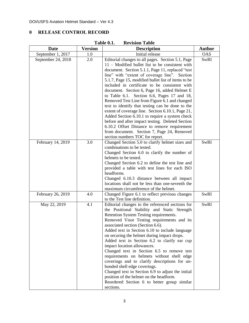#### <span id="page-2-0"></span>**0 RELEASE CONTROL RECORD**

| Date               | <b>Version</b> | <b>Description</b>                                                                                                                                                                                                                                                                                                                                                                                                                                                                                                                                                                                                                                                                                                                                                                                                  | <b>Author</b> |
|--------------------|----------------|---------------------------------------------------------------------------------------------------------------------------------------------------------------------------------------------------------------------------------------------------------------------------------------------------------------------------------------------------------------------------------------------------------------------------------------------------------------------------------------------------------------------------------------------------------------------------------------------------------------------------------------------------------------------------------------------------------------------------------------------------------------------------------------------------------------------|---------------|
| September 1, 2017  | 1.0            | Initial release                                                                                                                                                                                                                                                                                                                                                                                                                                                                                                                                                                                                                                                                                                                                                                                                     | <b>OAS</b>    |
| September 24, 2018 | 2.0            | Editorial changes to all pages. Section 5.1, Page<br>$11$ – Modified bullet list to be consistent with<br>document. Section 5.1.1, Page 11, replaced "test<br>line" with "extent of coverage line". Section<br>5.1.7, Page 15, modified bullet list of items to be<br>included in certificate to be consistent with<br>document. Section 6, Page 16, added Helmet E<br>to Table 6.1. Section 6.6, Pages 17 and 18,<br>Removed Test Line from Figure 6.1 and changed<br>text to identify that testing can be done to the<br>extent of coverage line. Section 6.10.1, Page 21,<br>Added Section 6.10.1 to require a system check<br>before and after impact testing. Deleted Section<br>6.10.2 Offset Distance to remove requirement<br>from document. Section 7, Page 24, Removed<br>section numbers TOC for report. | SwRI          |
| February 14, 2019  | 3.0            | Changed Section 5.0 to clarify helmet sizes and<br>combinations to be tested.<br>Changed Section 6.0 to clarify the number of<br>helmets to be tested.<br>Changed Section 6.2 to define the test line and<br>provided a table with test lines for each ISO<br>headforms.<br>Changed 6.10.3 distance between all impact<br>locations shall not be less than one-seventh the<br>maximum circumference of the helmet.                                                                                                                                                                                                                                                                                                                                                                                                  | SwRI          |
| February 26, 2019  | 4.0            | Changed Figure 6.1 to reflect previous changes<br>to the Test line definition.                                                                                                                                                                                                                                                                                                                                                                                                                                                                                                                                                                                                                                                                                                                                      | SwRI          |
| May 22, 2019       | 4.1            | Editorial changes to the referenced sections for<br>the Positional Stability and Static Strength<br>Retention System Testing requirements.<br>Removed Visor Testing requirements and its<br>associated section (Section 6.6).<br>Added text in Section 6.10 to include language<br>on securing the helmet during impact drops.<br>Added text in Section 6.2 to clarify ear cup<br>impact location allowances.<br>Changed text in Section 6.5 to remove test<br>requirements on helmets without shell edge<br>coverings and to clarify descriptions for un-<br>bonded shell edge coverings.<br>Changed text in Section 6.9 to adjust the initial<br>position of the helmet on the headform.<br>Reordered Section 6 to better group similar<br>sections.                                                              | SwRI          |

**Table 0.1. Revision Table**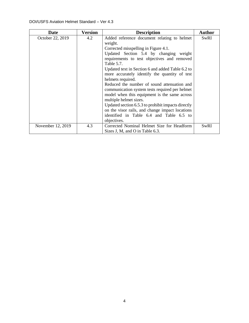| Date              | Version | <b>Description</b>                                                                                                                                                                                                                                                                                                                          | Author |
|-------------------|---------|---------------------------------------------------------------------------------------------------------------------------------------------------------------------------------------------------------------------------------------------------------------------------------------------------------------------------------------------|--------|
| October 22, 2019  | 4.2     | Added reference document relating to helmet<br>weight.<br>Corrected misspelling in Figure 4.1.<br>Updated Section 5.4 by changing weight<br>requirements to test objectives and removed<br>Table 5.7.<br>Updated text in Section 6 and added Table 6.2 to<br>more accurately identify the quantity of test<br>helmets required.             | SwRI   |
|                   |         | Reduced the number of sound attenuation and<br>communication system tests required per helmet<br>model when this equipment is the same across<br>multiple helmet sizes.<br>Updated section 6.5.3 to prohibit impacts directly<br>on the visor rails, and change impact locations<br>identified in Table 6.4 and Table 6.5 to<br>objectives. |        |
| November 12, 2019 | 4.3     | Corrected Nominal Helmet Size for Headform<br>Sizes J, M, and O in Table 6.3.                                                                                                                                                                                                                                                               | SwRI   |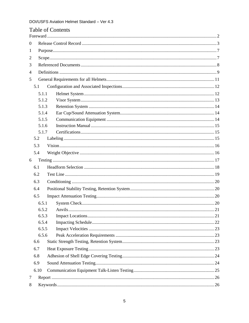|                  |       | <b>Table of Contents</b> |  |
|------------------|-------|--------------------------|--|
|                  |       |                          |  |
| $\boldsymbol{0}$ |       |                          |  |
| $\mathbf{1}$     |       |                          |  |
| 2                |       |                          |  |
| 3                |       |                          |  |
| 4                |       |                          |  |
| 5                |       |                          |  |
|                  | 5.1   |                          |  |
|                  | 5.1.1 |                          |  |
|                  | 5.1.2 |                          |  |
|                  | 5.1.3 |                          |  |
|                  | 5.1.4 |                          |  |
|                  | 5.1.5 |                          |  |
|                  | 5.1.6 |                          |  |
|                  | 5.1.7 |                          |  |
|                  | 5.2   |                          |  |
|                  | 5.3   |                          |  |
|                  | 5.4   |                          |  |
| 6                |       |                          |  |
|                  | 6.1   |                          |  |
|                  | 6.2   |                          |  |
|                  | 6.3   |                          |  |
|                  | 6.4   |                          |  |
|                  | 6.5   |                          |  |
|                  | 6.5.1 |                          |  |
|                  | 6.5.2 |                          |  |
|                  | 6.5.3 |                          |  |
|                  | 6.5.4 |                          |  |
|                  | 6.5.5 |                          |  |
|                  | 6.5.6 |                          |  |
|                  | 6.6   |                          |  |
|                  | 6.7   |                          |  |
|                  | 6.8   |                          |  |
|                  | 6.9   |                          |  |
|                  | 6.10  |                          |  |
| $\tau$           |       |                          |  |
| 8                |       |                          |  |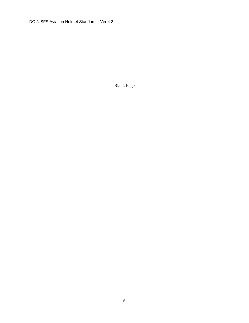Blank Page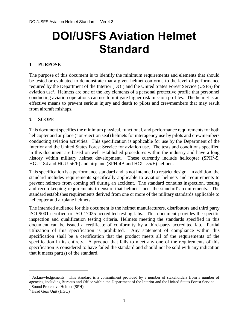## **DOI/USFS Aviation Helmet Standard**

#### <span id="page-6-0"></span>**1 PURPOSE**

The purpose of this document is to identify the minimum requirements and elements that should be tested or evaluated to demonstrate that a given helmet conforms to the level of performance required by the Department of the Interior (DOI) and the United States Forest Service (USFS) for aviation use<sup>1</sup>. Helmets are one of the key elements of a personal protective profile that personnel conducting aviation operations can use to mitigate higher risk mission profiles. The helmet is an effective means to prevent serious injury and death to pilots and crewmembers that may result from aircraft mishaps.

#### <span id="page-6-1"></span>**2 SCOPE**

This document specifies the minimum physical, functional, and performance requirements for both helicopter and airplane (non-ejection seat) helmets for interagency use by pilots and crewmembers conducting aviation activities. This specification is applicable for use by the Department of the Interior and the United States Forest Service for aviation use. The tests and conditions specified in this document are based on well established procedures within the industry and have a long history within military helmet development. These currently include helicopter  $(SPH<sup>2</sup>-5)$ , HGU<sup>3</sup>-84 and HGU-56/P) and airplane (SPH-4B and HGU-55/E) helmets.

This specification is a performance standard and is not intended to restrict design. In addition, the standard includes requirements specifically applicable to aviation helmets and requirements to prevent helmets from coming off during an accident. The standard contains inspection, testing and recordkeeping requirements to ensure that helmets meet the standard's requirements. The standard establishes requirements derived from one or more of the military standards applicable to helicopter and airplane helmets.

The intended audience for this document is the helmet manufacturers, distributors and third party ISO 9001 certified or ISO 17025 accredited testing labs. This document provides the specific inspection and qualification testing criteria. Helmets meeting the standards specified in this document can be issued a certificate of conformity by a third-party accredited lab. Partial utilization of this specification is prohibited. Any statement of compliance within this specification shall be a certification that the product meets all of the requirements of the specification in its entirety. A product that fails to meet any one of the requirements of this specification is considered to have failed the standard and should not be sold with any indication that it meets part(s) of the standard.

 $\overline{a}$ 

<sup>&</sup>lt;sup>1</sup> Acknowledgements: This standard is a commitment provided by a number of stakeholders from a number of agencies, including Bureaus and Office within the Department of the Interior and the United States Forest Service.

<sup>2</sup> Sound Protective Helmet (SPH)

<sup>3</sup> Head Gear Unit (HGU)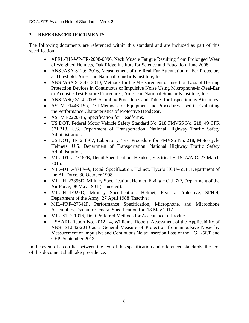#### <span id="page-7-0"></span>**3 REFERENCED DOCUMENTS**

The following documents are referenced within this standard and are included as part of this specification:

- AFRL-RH-WP-TR-2008-0096, Neck Muscle Fatigue Resulting from Prolonged Wear of Weighted Helmets, Oak Ridge Institute for Science and Education, June 2008.
- ANSI/ASA S12.6–2016, Measurement of the Real-Ear Attenuation of Ear Protectors at Threshold, American National Standards Institute, Inc.
- ANSI/ASA S12.42–2010, Methods for the Measurement of Insertion Loss of Hearing Protection Devices in Continuous or Impulsive Noise Using Microphone-in-Real-Ear or Acoustic Test Fixture Procedures, American National Standards Institute, Inc.
- ANSI/ASQ Z1.4–2008, Sampling Procedures and Tables for Inspection by Attributes.
- ASTM F1446-15b, Test Methods for Equipment and Procedures Used in Evaluating the Performance Characteristics of Protective Headgear.
- ASTM F2220-15, Specification for Headforms.
- US DOT, Federal Motor Vehicle Safety Standard No. 218 FMVSS No. 218, 49 CFR 571.218, U.S. Department of Transportation, National Highway Traffic Safety Administration.
- US DOT, TP–218-07, Laboratory, Test Procedure for FMVSS No. 218, Motorcycle Helmets, U.S. Department of Transportation, National Highway Traffic Safety Administration.
- MIL–DTL–27467B, Detail Specification, Headset, Electrical H-154A/AIC, 27 March 2015.
- MIL–DTL–87174A, Detail Specification, Helmet, Flyer's HGU–55/P, Department of the Air Force, 30 October 1998.
- MIL–H–27856D, Military Specification, Helmet, Flying HGU–7/P, Department of the Air Force, 08 May 1981 (Canceled).
- MIL–H–43925D, Military Specification, Helmet, Flyer's, Protective, SPH-4, Department of the Army, 27 April 1988 (Inactive).
- MIL–PRF–27542F, Performance Specification, Microphone, and Microphone Assemblies, Dynamic General Specification for, 18 May 2017.
- MIL–STD–1916, DoD Preferred Methods for Acceptance of Product.
- USAARL Report No. 2012-14, Williams, Robert, Assessment of the Applicability of ANSI S12.42-2010 as a General Measure of Protection from impulsive Nosie by Measurement of Impulsive and Continuous Noise Insertion Loss of the HGU-56/P and CEP, September 2012.

In the event of a conflict between the text of this specification and referenced standards, the text of this document shall take precedence.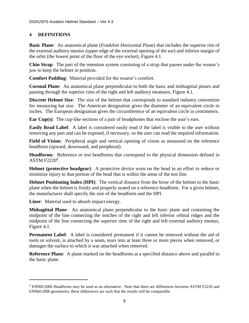#### <span id="page-8-0"></span>**4 DEFINITIONS**

**Basic Plane**: An anatomical plane (Frankfort Horizontal Plane) that includes the superior rim of the external auditory meatus (upper edge of the external opening of the ear) and inferior margin of the orbit (the lowest point of the floor of the eye socket), [Figure 4.1.](#page-9-0)

**Chin Strap**: The part of the retention system consisting of a strap that passes under the wearer's jaw to keep the helmet in position.

**Comfort Padding**: Material provided for the wearer's comfort.

**Coronal Plane**: An anatomical plane perpendicular to both the basic and midsagittal planes and passing through the superior rims of the right and left auditory meatuses, [Figure 4.1.](#page-9-0)

**Discrete Helmet Size**: The size of the helmet that corresponds to standard industry convention for measuring hat size. The American designation gives the diameter of an equivalent circle in inches. The European designation gives the circumference of an equivalent circle in centimeters.

**Ear Cup(s)**: The [cup-](https://en.wiktionary.org/wiki/cup)like sections of a pair of [headphones](https://en.wiktionary.org/wiki/headphone) that enclose the user's [ears.](https://en.wiktionary.org/wiki/ear)

**Easily Read Label**: A label is considered easily read if the label is visible to the user without removing any part and can be exposed, if necessary, so the user can read the required information.

**Field of Vision**: Peripheral angle and vertical opening of vision as measured on the reference headform (upward, downward, and peripheral).

**Headforms**: Reference or test headforms that correspond to the physical dimension defined in ASTM F2220<sup>4</sup>.

**Helmet (protective headgear)**: A protective device worn on the head in an effort to reduce or minimize injury to that portion of the head that is within the areas of the test line.

**Helmet Positioning Index (HPI)**: The vertical distance from the brow of the helmet to the basic plane when the helmet is firmly and properly seated on a reference headform. For a given helmet, the manufacturer shall specify the size of the headform and the HPI.

**Liner**: Material used to absorb impact energy.

l

**Midsagittal Plane**: An anatomical plane perpendicular to the basic plane and containing the midpoint of the line connecting the notches of the right and left inferior orbital ridges and the midpoint of the line connecting the superior rims of the right and left external auditory meatus, [Figure 4.1.](#page-9-0)

**Permanent Label:** A label is considered permanent if it cannot be removed without the aid of tools or solvent, is attached by a seam, tears into at least three or more pieces when removed, or damages the surface to which it was attached when removed.

**Reference Plane**: A plane marked on the headforms at a specified distance above and parallel to the basic plane.

<sup>4</sup> EN960:2006 Headforms may be used as an alternative. Note that there are differences between ASTM F2220 and EN960:2006 geometries; these differences are such that the results will be comparable.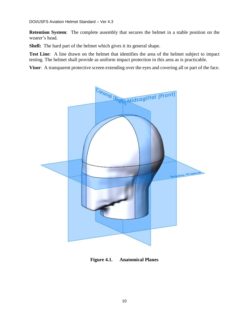**Retention System**: The complete assembly that secures the helmet in a stable position on the wearer's head.

**Shell:** The hard part of the helmet which gives it its general shape.

**Test Line**: A line drawn on the helmet that identifies the area of the helmet subject to impact testing. The helmet shall provide as uniform impact protection in this area as is practicable.

**Visor**: A transparent protective screen extending over the eyes and covering all or part of the face.



<span id="page-9-0"></span>**Figure 4.1. Anatomical Planes**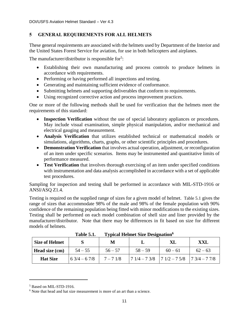#### <span id="page-10-0"></span>**5 GENERAL REQUIREMENTS FOR ALL HELMETS**

These general requirements are associated with the helmets used by Department of the Interior and the United States Forest Service for aviation, for use in both helicopters and airplanes.

The manufacturer/distributor is responsible for<sup>5</sup>:

- Establishing their own manufacturing and process controls to produce helmets in accordance with requirements.
- Performing or having performed all inspections and testing.
- Generating and maintaining sufficient evidence of conformance.
- Submitting helmets and supporting deliverables that conform to requirements.
- Using recognized corrective action and process improvement practices.

One or more of the following methods shall be used for verification that the helmets meet the requirements of this standard:

- **Inspection Verification** without the use of special laboratory appliances or procedures. May include visual examination, simple physical manipulation, and/or mechanical and electrical gauging and measurement.
- **Analysis Verification** that utilizes established technical or mathematical models or simulations, algorithms, charts, graphs, or other scientific principles and procedures.
- **Demonstration Verification** that involves actual operation, adjustment, or reconfiguration of an item under specific scenarios. Items may be instrumented and quantitative limits of performance measured.
- **Test Verification** that involves thorough exercising of an item under specified conditions with instrumentation and data analysis accomplished in accordance with a set of applicable test procedures.

Sampling for inspection and testing shall be performed in accordance with MIL-STD-1916 or ANSI/ASQ Z1.4.

Testing is required on the supplied range of sizes for a given model of helmet. [Table 5.1](#page-10-1) gives the range of sizes that accommodate 98% of the male and 98% of the female population with 90% confidence of the remaining population being fitted with minor modifications to the existing sizes. Testing shall be performed on each model combination of shell size and liner provided by the manufacturer/distributor. Note that there may be differences in fit based on size for different models of helmets.

<span id="page-10-1"></span>

|                       | .             |            | $\sim$ , premi arenner onde $\sim$ congrammon |           |           |
|-----------------------|---------------|------------|-----------------------------------------------|-----------|-----------|
| <b>Size of Helmet</b> |               |            |                                               | XL        | XXL       |
| Head size (cm)        | $54 - 55$     | $56 - 57$  | $58 - 59$                                     | $60 - 61$ | $62 - 63$ |
| <b>Hat Size</b>       | $63/4 - 67/8$ | $7 - 71/8$ |                                               |           |           |

**Table 5.1. Typical Helmet Size Designation<sup>6</sup>**

l

<sup>5</sup> Based on MIL-STD-1916.

<sup>&</sup>lt;sup>6</sup> Note that head and hat size measurement is more of an art than a science.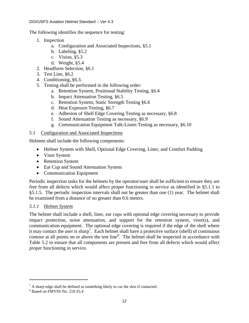The following identifies the sequence for testing:

- 1. Inspection
	- a. Configuration and Associated Inspections, [§5.1](#page-11-0)
	- b. Labeling, [§5.2](#page-14-2)
	- c. Vision, [§5.3](#page-15-0)
	- d. Weight, [§5.4](#page-15-1)
- 2. Headform Selection, [§6.1](#page-17-0)
- 3. Test Line, [§6.2](#page-18-0)
- 4. Conditioning, [§6.3.](#page-19-0)
- 5. Testing shall be performed in the following order:
	- a. Retention System, Positional Stability Testing, [§6.4](#page-19-1)
	- b. Impact Attenuation Testing, [§6.5](#page-19-2)
	- c. Retention System, Static Strength Testing [§6.6](#page-22-2)
	- d. Heat Exposure Testing, [§6.7](#page-22-3)
	- e. Adhesion of Shell Edge Covering Testing as necessary, [§6.8](#page-23-0)
	- f. Sound Attenuation Testing as necessary, [§6.9](#page-23-1)
	- g. Communication Equipment Talk-Listen Testing as necessary, [§6.10](#page-24-0)

#### <span id="page-11-0"></span>5.1 Configuration and Associated Inspections

Helmets shall include the following components:

- Helmet System with Shell, Optional Edge Covering, Liner, and Comfort Padding
- Visor System
- Retention System
- Ear Cup and Sound Attenuation System
- Communication Equipment

Periodic inspection tasks for the helmets by the operator/user shall be sufficient to ensure they are free from all defects which would affect proper functioning in service as identified in [§5.1.1](#page-11-1) to [§5.1.5.](#page-13-2) The periodic inspection intervals shall not be greater than one (1) year. The helmet shall be examined from a distance of no greater than 0.6 meters.

#### <span id="page-11-1"></span>*5.1.1 Helmet System*

The helmet shall include a shell, liner, ear cups with optional edge covering necessary to provide impact protection, noise attenuation, and support for the retention system, visor(s), and communication equipment. The optional edge covering is required if the edge of the shell where it may contact the user is sharp<sup>7</sup>. Each helmet shall have a protective surface (shell) of continuous contour at all points on or above the test line<sup>8</sup>. The helmet shall be inspected in accordance with [Table 5.2](#page-12-1) to ensure that all components are present and free from all defects which would affect proper functioning in service.

l

<sup>&</sup>lt;sup>7</sup> A sharp edge shall be defined as something likely to cut the skin if contacted.

<sup>8</sup> Based on FMVSS No. 218 S5.4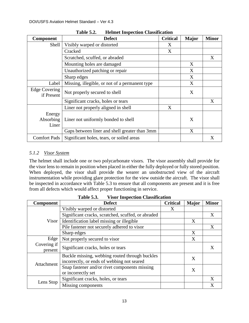<span id="page-12-1"></span>

| Component                          | <b>Defect</b>                                  | <b>Critical</b> | <b>Major</b> | <b>Minor</b> |
|------------------------------------|------------------------------------------------|-----------------|--------------|--------------|
| Shell                              | Visibly warped or distorted                    | X               |              |              |
|                                    | Cracked                                        | X               |              |              |
|                                    | Scratched, scuffed, or abraded                 |                 |              | X            |
|                                    | Mounting holes are damaged                     |                 | X            |              |
|                                    | Unauthorized patching or repair                |                 | X            |              |
|                                    | Sharp edges                                    |                 | X            |              |
| Label                              | Missing, illegible, or not of a permanent type |                 | X            |              |
| <b>Edge Covering</b><br>if Present | Not properly secured to shell                  |                 | X            |              |
|                                    | Significant cracks, holes or tears             |                 |              | X            |
|                                    | Liner not properly aligned in shell            | X               |              |              |
| Energy<br>Absorbing<br>Liner       | Liner not uniformly bonded to shell            |                 | X            |              |
|                                    | Gaps between liner and shell greater than 3mm  |                 | X            |              |
| <b>Comfort Pads</b>                | Significant holes, tears, or soiled areas      |                 |              |              |

**Table 5.2. Helmet Inspection Classification**

#### <span id="page-12-0"></span>*5.1.2 Visor System*

The helmet shall include one or two polycarbonate visors. The visor assembly shall provide for the visor lens to remain in position when placed in either the fully deployed or fully stored position. When deployed, the visor shall provide the wearer an unobstructed view of the aircraft instrumentation while providing glare protection for the view outside the aircraft. The visor shall be inspected in accordance with [Table 5.3](#page-12-2) to ensure that all components are present and it is free from all defects which would affect proper functioning in service.

<span id="page-12-2"></span>

| <b>Component</b>       | <b>Defect</b>                                                                                | <b>Critical</b> | <b>Major</b> | <b>Minor</b> |
|------------------------|----------------------------------------------------------------------------------------------|-----------------|--------------|--------------|
|                        | Visibly warped or distorted                                                                  | X               |              |              |
|                        | Significant cracks, scratched, scuffed, or abraded                                           |                 |              | X            |
| Visor                  | Identification label missing or illegible                                                    |                 | X            |              |
|                        | Pile fastener not securely adhered to visor                                                  |                 |              | X            |
| Sharp edges            |                                                                                              |                 | X            |              |
| Edge                   | Not properly secured to visor                                                                |                 | X            |              |
| Covering if<br>present | Significant cracks, holes or tears                                                           |                 |              |              |
| Attachment             | Buckle missing, webbing routed through buckles<br>incorrectly, or ends of webbing not seared |                 | X            |              |
|                        | Snap fastener and/or rivet components missing<br>or incorrectly set                          |                 | X            |              |
|                        | Significant cracks, holes, or tears                                                          |                 |              | X            |
| Lens Stop              | Missing components                                                                           |                 |              | X            |

| <b>Visor Inspection Classification</b> | <b>Table 5.3.</b> |  |  |  |
|----------------------------------------|-------------------|--|--|--|
|----------------------------------------|-------------------|--|--|--|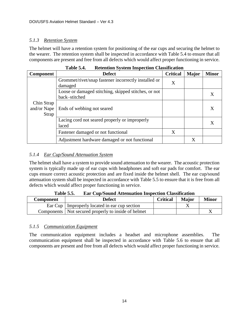#### <span id="page-13-0"></span>*5.1.3 Retention System*

The helmet will have a retention system for positioning of the ear cups and securing the helmet to the wearer. The retention system shall be inspected in accordance with [Table 5.4](#page-13-3) to ensure that all components are present and free from all defects which would affect proper functioning in service.

<span id="page-13-3"></span>

|                                    | 1 adie 5.4.<br>Retention System Inspection Classification             |                 |              |              |
|------------------------------------|-----------------------------------------------------------------------|-----------------|--------------|--------------|
| Component                          | <b>Defect</b>                                                         | <b>Critical</b> | <b>Major</b> | <b>Minor</b> |
|                                    | Grommet/rivet/snap fastener incorrectly installed or<br>damaged       | X               |              |              |
|                                    | Loose or damaged stitching, skipped stitches, or not<br>back-stitched |                 |              | Χ            |
| Chin Strap<br>and/or Nape<br>Strap | Ends of webbing not seared                                            |                 |              | X            |
|                                    | Lacing cord not seared properly or improperly<br>laced                |                 |              |              |
|                                    | Fastener damaged or not functional                                    | X               |              |              |
|                                    | Adjustment hardware damaged or not functional                         |                 | X            |              |

**Table 5.4. Retention System Inspection Classification**

#### <span id="page-13-1"></span>*5.1.4 Ear Cup/Sound Attenuation System*

The helmet shall have a system to provide sound attenuation to the wearer. The acoustic protection system is typically made up of ear cups with headphones and soft ear pads for comfort. The ear cups ensure correct acoustic protection and are fixed inside the helmet shell. The ear cup/sound attenuation system shall be inspected in accordance with [Table 5.5](#page-13-4) to ensure that it is free from all defects which would affect proper functioning in service.

<span id="page-13-4"></span>

| Component | Defect                                                | <b>Critical</b> | <b>Major</b> | <b>Minor</b> |
|-----------|-------------------------------------------------------|-----------------|--------------|--------------|
|           | Ear Cup   Improperly located in ear cup section       |                 |              |              |
|           | Components   Not secured properly to inside of helmet |                 |              |              |

**Table 5.5. Ear Cup/Sound Attenuation Inspection Classification**

#### <span id="page-13-2"></span>*5.1.5 Communication Equipment*

The communication equipment includes a headset and microphone assemblies. The communication equipment shall be inspected in accordance with [Table 5.6](#page-14-3) to ensure that all components are present and free from all defects which would affect proper functioning in service.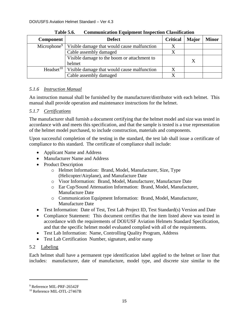<span id="page-14-3"></span>

| <b>Component</b>        | <b>Defect</b>                               | <b>Critical</b> | Major | <b>Minor</b> |
|-------------------------|---------------------------------------------|-----------------|-------|--------------|
| Microphone <sup>9</sup> | Visible damage that would cause malfunction | X               |       |              |
|                         | Cable assembly damaged                      | X               |       |              |
|                         | Visible damage to the boom or attachment to |                 | X     |              |
|                         | helmet                                      |                 |       |              |
| Headset $10$            | Visible damage that would cause malfunction | Χ               |       |              |
|                         | Cable assembly damaged                      |                 |       |              |

**Table 5.6. Communication Equipment Inspection Classification**

#### <span id="page-14-0"></span>*5.1.6 Instruction Manual*

An instruction manual shall be furnished by the manufacturer/distributor with each helmet. This manual shall provide operation and maintenance instructions for the helmet.

#### <span id="page-14-1"></span>*5.1.7 Certifications*

The manufacturer shall furnish a document certifying that the helmet model and size was tested in accordance with and meets this specification, and that the sample is tested is a true representation of the helmet model purchased, to include construction, materials and components.

Upon successful completion of the testing in the standard, the test lab shall issue a certificate of compliance to this standard. The certificate of compliance shall include:

- Applicant Name and Address
- Manufacturer Name and Address
- Product Description
	- o Helmet Information: Brand, Model, Manufacturer, Size, Type (Helicopter/Airplane), and Manufacture Date
	- o Visor Information: Brand, Model, Manufacturer, Manufacture Date
	- o Ear Cup/Sound Attenuation Information: Brand, Model, Manufacturer, Manufacture Date
	- o Communication Equipment Information: Brand, Model, Manufacturer, Manufacture Date
- Test Information: Date of Test, Test Lab Project ID, Test Standard(s) Version and Date
- Compliance Statement: This document certifies that the item listed above was tested in accordance with the requirements of DOI/USF Aviation Helmets Standard Specification, and that the specific helmet model evaluated complied with all of the requirements.
- Test Lab Information: Name, Controlling Quality Program, Address
- Test Lab Certification Number, signature, and/or stamp

#### <span id="page-14-2"></span>5.2 Labeling

l

Each helmet shall have a permanent type identification label applied to the helmet or liner that includes: manufacturer, date of manufacture, model type, and discrete size similar to the

<sup>9</sup> Reference MIL-PRF-26542F

<sup>10</sup> Reference MIL-DTL-27467B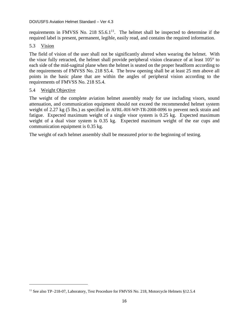requirements in FMVSS No. 218  $S5.6.1<sup>11</sup>$ . The helmet shall be inspected to determine if the required label is present, permanent, legible, easily read, and contains the required information.

#### <span id="page-15-0"></span>5.3 Vision

 $\overline{\phantom{a}}$ 

The field of vision of the user shall not be significantly altered when wearing the helmet. With the visor fully retracted, the helmet shall provide peripheral vision clearance of at least 105° to each side of the mid-sagittal plane when the helmet is seated on the proper headform according to the requirements of FMVSS No. 218 S5.4. The brow opening shall be at least 25 mm above all points in the basic plane that are within the angles of peripheral vision according to the requirements of FMVSS No. 218 S5.4.

#### <span id="page-15-1"></span>5.4 Weight Objective

The weight of the complete aviation helmet assembly ready for use including visors, sound attenuation, and communication equipment should not exceed the recommended helmet system weight of 2.27 kg (5 lbs.) as specified in AFRL-RH-WP-TR-2008-0096 to prevent neck strain and fatigue. Expected maximum weight of a single visor system is 0.25 kg. Expected maximum weight of a dual visor system is 0.35 kg. Expected maximum weight of the ear cups and communication equipment is 0.35 kg.

The weight of each helmet assembly shall be measured prior to the beginning of testing.

<sup>&</sup>lt;sup>11</sup> See also TP-218-07, Laboratory, Test Procedure for FMVSS No. 218, Motorcycle Helmets §12.5.4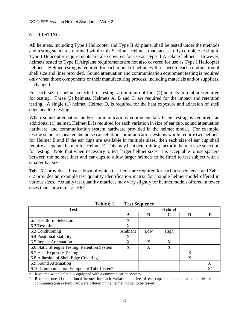#### <span id="page-16-0"></span>**6 TESTING**

All helmets, including Type I Helicopter and Type II Airplane, shall be tested under the methods and testing standards outlined within this Section. Helmets that successfully complete testing to Type I Helicopter requirements are also covered for use as Type II Airplane helmets. However, helmets tested to Type II Airplane requirements are not also covered for use as Type I Helicopter helmets. Helmet testing is required for each model of helmet with respect to each combination of shell size and liner provided. Sound attenuation and communication equipment testing is required only when those components or their manufacturing process, including materials and/or suppliers, is changed.

For each size of helmet selected for testing, a minimum of four (4) helmets in total are required for testing. Three (3) helmets, Helmets A, B and C, are required for the impact and retention testing. A single (1) helmet, Helmet D, is required for the heat exposure and adhesion of shell edge beading testing.

When sound attenuation and/or communications equipment talk-listen testing is required, an additional (1) helmet, Helmet E, is required for each variation in size of ear cup, sound attenuation hardware, and communication system hardware provided in the helmet model. For example, testing standard speaker and noise cancellation communication systems would require two helmets for Helmet E and if the ear cups are available in multiple sizes, then each size of ear cup shall require a separate helmet for Helmet E. This may be a determining factor in helmet size selection for testing. Note that when necessary to test larger helmet sizes, it is acceptable to use spacers between the helmet liner and ear cups to allow larger helmets to be fitted to test subject with a smaller hat size.

[Table 6.1](#page-16-1) provides a break-down of which test items are required for each test sequence and [Table](#page-17-1)  [6.2](#page-17-1) provides an example test quantity identification matrix for a single helmet model offered in various sizes. Actually test quantity matrices may vary slightly for helmet models offered in fewer sizes than shown in [Table 6.2](#page-17-1).

<span id="page-16-1"></span>

| 1 adie 0.1.                                   |         | 1 est sequence |      |   |                                      |  |
|-----------------------------------------------|---------|----------------|------|---|--------------------------------------|--|
| <b>Test</b>                                   |         | <b>Helmet</b>  |      |   |                                      |  |
|                                               | A       | B              |      | D | E                                    |  |
| 6.1 Headform Selection                        | X       |                |      |   |                                      |  |
| 6.2 Test Line                                 | X       |                |      |   |                                      |  |
| 6.3 Conditioning                              | Ambient | Low            | High |   |                                      |  |
| 6.4 Positional Stability                      | Х       |                |      |   |                                      |  |
| 6.5 Impact Attenuation                        | X       | X              | X    |   |                                      |  |
| 6.6 Static Strength Testing, Retention System | X       | X              | X    |   |                                      |  |
| 6.7 Heat Exposure Testing                     |         |                |      | X |                                      |  |
| 6.8 Adhesion of Shell Edge Covering           |         |                |      | X |                                      |  |
| 6.9 Sound Attenuation                         |         |                |      |   | $X^+$                                |  |
| 6.10 Communication Equipment Talk-Listen*     |         |                |      |   | $\mathrm{X}^{\scriptscriptstyle{+}}$ |  |

| <b>Table 6.1.</b> | <b>Test Sequence</b> |
|-------------------|----------------------|
|                   |                      |

Required when helmet is equipped with a communication system.

Requires one (1) additional helmet for each variation in size of ear cup, sound attenuation hardware, and communication system hardware offered in the helmet model to be tested.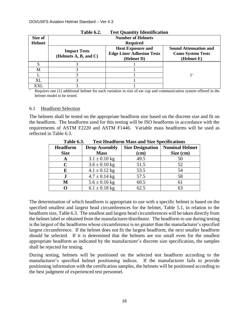<span id="page-17-1"></span>

|                       | 1 adie 0.4.<br>Test Qualitity Identification |                                  |                          |  |  |  |  |  |
|-----------------------|----------------------------------------------|----------------------------------|--------------------------|--|--|--|--|--|
| Size of               | <b>Number of Helmets</b>                     |                                  |                          |  |  |  |  |  |
| <b>Helmet</b>         |                                              | <b>Required</b>                  |                          |  |  |  |  |  |
|                       |                                              | <b>Sound Attenuation and</b>     |                          |  |  |  |  |  |
|                       | <b>Impact Tests</b>                          | <b>Edge Liner Adhesion Tests</b> | <b>Coms System Tests</b> |  |  |  |  |  |
| (Helmets A, B, and C) |                                              | (Helmet D)                       | (Helmet E)               |  |  |  |  |  |
|                       |                                              |                                  |                          |  |  |  |  |  |
| M                     |                                              |                                  |                          |  |  |  |  |  |
|                       |                                              |                                  | $1+$                     |  |  |  |  |  |
| XL                    |                                              |                                  |                          |  |  |  |  |  |
| XXL                   |                                              |                                  |                          |  |  |  |  |  |

| <b>Table 6.2.</b> | <b>Test Quantity Identification</b> |  |
|-------------------|-------------------------------------|--|
|                   |                                     |  |

Requires one (1) additional helmet for each variation in size of ear cup and communication system offered in the helmet model to be tested.

#### <span id="page-17-0"></span>6.1 Headform Selection

The helmets shall be tested on the appropriate headform size based on the discrete size and fit on the headform. The headforms used for this testing will be ISO headforms in accordance with the requirements of ASTM F2220 and ASTM F1446. Variable mass headforms will be used as reflected in [Table 6.3.](#page-17-2)

<span id="page-17-2"></span>

| <b>Tavit V.J.</b><br>Test ricaururiil iviass and size specifications |                      |                         |                       |  |  |  |  |  |
|----------------------------------------------------------------------|----------------------|-------------------------|-----------------------|--|--|--|--|--|
| <b>Headform</b>                                                      | <b>Drop Assembly</b> | <b>Size Designation</b> | <b>Nominal Helmet</b> |  |  |  |  |  |
| <b>Size</b>                                                          | <b>Mass</b>          | $(cm)$                  | Size (cm)             |  |  |  |  |  |
| A                                                                    | $3.1 \pm 0.10$ kg    | 49.5                    | 50                    |  |  |  |  |  |
|                                                                      | $3.6 \pm 0.10$ kg    | 51.5                    | 52                    |  |  |  |  |  |
| E                                                                    | $4.1 \pm 0.12$ kg    | 53.5                    | 54                    |  |  |  |  |  |
| J                                                                    | $4.7 \pm 0.14$ kg    | 57.5                    | 58                    |  |  |  |  |  |
| M                                                                    | $5.6 \pm 0.16$ kg    | 60.5                    | 61                    |  |  |  |  |  |
|                                                                      | $6.1 \pm 0.18$ kg    | 62.5                    | 63                    |  |  |  |  |  |

**Table 6.3. Test Headform Mass and Size Specifications**

The determination of which headform is appropriate to use with a specific helmet is based on the specified smallest and largest head circumferences for the helmet, [Table 5.1,](#page-10-1) in relation to the headform size, [Table 6.3.](#page-17-2) The smallest and largest head circumferences will be taken directly from the helmet label or obtained from the manufacturer/distributor. The headform to use during testing is the largest of the headforms whose circumference is no greater than the manufacturer's specified largest circumference. If the helmet does not fit the largest headform, the next smaller headform should be selected. If it is determined that the helmets are too small even for the smallest appropriate headform as indicated by the manufacturer's discrete size specification, the samples shall be rejected for testing.

During testing, helmets will be positioned on the selected test headform according to the manufacturer's specified helmet positioning indices. If the manufacturer fails to provide positioning information with the certification samples, the helmets will be positioned according to the best judgment of experienced test personnel.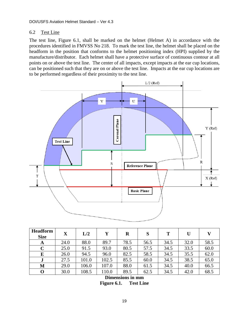#### <span id="page-18-0"></span>6.2 Test Line

The test line, [Figure 6.1,](#page-18-1) shall be marked on the helmet (Helmet A) in accordance with the procedures identified in FMVSS No 218. To mark the test line, the helmet shall be placed on the headform in the position that conforms to the helmet positioning index (HPI) supplied by the manufacture/distributor. Each helmet shall have a protective surface of continuous contour at all points on or above the test line. The center of all impacts, except impacts at the ear cup locations, can be positioned such that they are on or above the test line. Impacts at the ear cup locations are to be performed regardless of their proximity to the test line.



<span id="page-18-1"></span>

| <b>Headform</b><br><b>Size</b> | $\mathbf X$ | L/2   | Y     | R    | S    | Т    | U    | v    |
|--------------------------------|-------------|-------|-------|------|------|------|------|------|
| A                              | 24.0        | 88.0  | 89.7  | 78.5 | 56.5 | 34.5 | 32.0 | 58.5 |
| $\mathbf C$                    | 25.0        | 91.5  | 93.0  | 80.5 | 57.5 | 34.5 | 33.5 | 60.0 |
| E                              | 26.0        | 94.5  | 96.0  | 82.5 | 58.5 | 34.5 | 35.5 | 62.0 |
| $\bf J$                        | 27.5        | 101.0 | 102.5 | 85.5 | 60.0 | 34.5 | 38.5 | 65.0 |
| M                              | 29.0        | 106.0 | 107.0 | 88.0 | 61.5 | 34.5 | 40.0 | 66.5 |
| $\mathbf 0$                    | 30.0        | 108.5 | 110.0 | 89.5 | 62.5 | 34.5 | 42.0 | 68.5 |

**Dimensions in mm Figure 6.1. Test Line**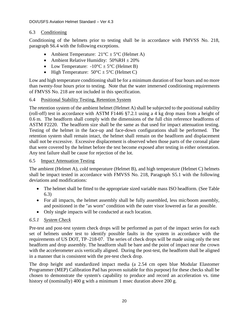#### <span id="page-19-0"></span>6.3 Conditioning

Conditioning of the helmets prior to testing shall be in accordance with FMVSS No. 218, paragraph S6.4 with the following exceptions.

- Ambient Temperature:  $21^{\circ}C \pm 5^{\circ}C$  (Helmet A)
- Ambient Relative Humidity:  $50\%RH \pm 20\%$
- Low Temperature:  $-10^{\circ}C \pm 5^{\circ}C$  (Helmet B)
- High Temperature:  $50^{\circ}$ C  $\pm$  5°C (Helmet C)

Low and high temperature conditioning shall be for a minimum duration of four hours and no more than twenty-four hours prior to testing. Note that the water immersed conditioning requirements of FMVSS No. 218 are not included in this specification.

#### <span id="page-19-1"></span>6.4 Positional Stability Testing, Retention System

The retention system of the ambient helmet (Helmet A) shall be subjected to the positional stability (roll-off) test in accordance with ASTM F1446 §7.2.1 using a 4 kg drop mass from a height of 0.6 m. The headform shall comply with the dimensions of the full chin reference headforms of ASTM F2220. The headform size shall be the same as that used for impact attenuation testing. Testing of the helmet in the face-up and face-down configurations shall be performed. The retention system shall remain intact, the helmet shall remain on the headform and displacement shall not be excessive. Excessive displacement is observed when those parts of the coronal plane that were covered by the helmet before the test become exposed after testing in either orientation. Any test failure shall be cause for rejection of the lot.

#### <span id="page-19-2"></span>6.5 Impact Attenuation Testing

The ambient (Helmet A), cold temperature (Helmet B), and high temperature (Helmet C) helmets shall be impact tested in accordance with FMVSS No. 218, Paragraph S5.1 with the following deviations and modifications:

- The helmet shall be fitted to the appropriate sized variable mass ISO headform. (See Table [6.3\)](#page-17-2)
- For all impacts, the helmet assembly shall be fully assembled, less mic/boom assembly, and positioned in the "as worn" condition with the outer visor lowered as far as possible.
- Only single impacts will be conducted at each location.

#### <span id="page-19-3"></span>*6.5.1 System Check*

Pre-test and post-test system check drops will be performed as part of the impact series for each set of helmets under test to identify possible faults in the system in accordance with the requirements of US DOT, TP–218-07. The series of check drops will be made using only the test headform and drop assembly. The headform shall be bare and the point of impact near the crown with the accelerometer axis vertically aligned. During the post-test, the headform shall be aligned in a manner that is consistent with the pre-test check drop.

The drop height and standardized impact media (a 2.54 cm open blue Modular Elastomer Programmer (MEP) Calibration Pad has proven suitable for this purpose) for these checks shall be chosen to demonstrate the system's capability to produce and record an acceleration vs. time history of (nominally) 400 g with a minimum 1 msec duration above 200 g.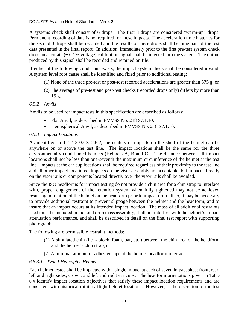A systems check shall consist of 6 drops. The first 3 drops are considered "warm-up" drops. Permanent recording of data is not required for these impacts. The acceleration time histories for the second 3 drops shall be recorded and the results of these drops shall become part of the test data presented in the final report. In addition, immediately prior to the first pre-test system check drop, an accurate  $(\pm 0.1\%$  voltage) calibration signal shall be injected into the system. The output produced by this signal shall be recorded and retained on file.

If either of the following conditions exists, the impact system check shall be considered invalid. A system level root cause shall be identified and fixed prior to additional testing:

- (1) None of the three pre-test or post-test recorded accelerations are greater than 375 g, or
- (2) The average of pre-test and post-test checks (recorded drops only) differs by more than 15 g.

#### <span id="page-20-0"></span>*6.5.2 Anvils*

Anvils to be used for impact tests in this specification are described as follows:

- Flat Anvil, as described in FMVSS No. 218 S7.1.10.
- Hemispherical Anvil, as described in FMVSS No. 218 S7.1.10.

#### <span id="page-20-1"></span>*6.5.3 Impact Locations*

As identified in TP-218-07 S12.6.2, the centers of impacts on the shell of the helmet can be anywhere on or above the test line. The impact locations shall be the same for the three environmentally conditioned helmets (Helmets A, B and C). The distance between all impact locations shall not be less than one-seventh the maximum circumference of the helmet at the test line. Impacts at the ear cup locations shall be required regardless of their proximity to the test line and all other impact locations. Impacts on the visor assembly are acceptable, but impacts directly on the visor rails or components located directly over the visor rails shall be avoided.

Since the ISO headforms for impact testing do not provide a chin area for a chin strap to interface with, proper engagement of the retention system when fully tightened may not be achieved resulting in rotation of the helmet on the headform prior to impact drop. If so, it may be necessary to provide additional restraint to prevent slippage between the helmet and the headform, and to insure that an impact occurs at its intended impact location. The mass of all additional restraints used must be included in the total drop mass assembly, shall not interfere with the helmet's impact attenuation performance, and shall be described in detail on the final test report with supporting photographs.

The following are permissible restraint methods:

- (1) A simulated chin (i.e. block, foam, bar, etc.) between the chin area of the headform and the helmet's chin strap, or
- (2) A minimal amount of adhesive tape at the helmet-headform interface.

#### *6.5.3.1 Type I Helicopter Helmets*

Each helmet tested shall be impacted with a single impact at each of seven impact sites; front, rear, left and right sides, crown, and left and right ear cups. The headform orientations given in [Table](#page-21-1)  [6.4](#page-21-1) identify impact location objectives that satisfy these impact location requirements and are consistent with historical military flight helmet locations. However, at the discretion of the test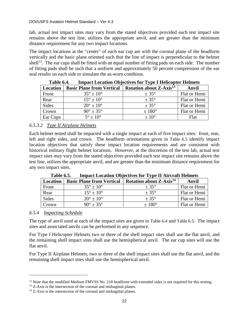lab, actual test impact sites may vary from the stated objectives provided each test impact site remains above the test line, utilizes the appropriate anvil, and are greater than the minimum distance requirement for any two impact locations.

The impact locations at the "center" of each ear cup are with the coronal plane of the headform vertically and the basic plane oriented such that the line of impact is perpendicular to the helmet shell<sup>12</sup>. The ear cups shall be fitted with an equal number of fitting pads on each side. The number of fitting pads shall be such that a uniform and approximately 50 percent compression of the ear seal results on each side to simulate the as-worn condition.

<span id="page-21-1"></span>

|          |                                  | $\frac{1}{2}$                              |              |  |  |
|----------|----------------------------------|--------------------------------------------|--------------|--|--|
| Location | <b>Basic Plane from Vertical</b> | <b>Rotation about Z-Axis</b> <sup>13</sup> | Anvil        |  |  |
| Front    | $35^{\circ} \pm 10^{\circ}$      | $\pm$ 35 $^{\circ}$                        | Flat or Hemi |  |  |
| Rear     | $15^\circ \pm 10^\circ$          | $\pm 35^{\circ}$                           | Flat or Hemi |  |  |
| Sides    | $20^{\circ} \pm 10^{\circ}$      | $\pm$ 35 $^{\circ}$                        | Flat or Hemi |  |  |
| Crown    | $90^{\circ} \pm 35^{\circ}$      | $\pm 180^\circ$                            | Flat or Hemi |  |  |
| Ear Cups | $5^\circ \pm 10^\circ$           | $\pm 10^{\circ}$                           | Flat         |  |  |

**Table 6.4. Impact Location Objectives for Type I Helicopter Helmets**

#### *6.5.3.2 Type II Airplane Helmets*

Each helmet tested shall be impacted with a single impact at each of five impact sites: front, rear, left and right sides, and crown. The headform orientations given in [Table 6.5](#page-21-2) identify impact location objectives that satisfy these impact location requirements and are consistent with historical military flight helmet locations. However, at the discretion of the test lab, actual test impact sites may vary from the stated objectives provided each test impact site remains above the test line, utilizes the appropriate anvil, and are greater than the minimum distance requirement for any two impact sites.

<span id="page-21-2"></span>

| 1 AVIC V.S.  |                                  | THE LOCATION ODJECTIVES TOL TYPE IT AN CLAIL LIENIICIS |              |  |  |
|--------------|----------------------------------|--------------------------------------------------------|--------------|--|--|
| Location     | <b>Basic Plane from Vertical</b> | Rotation about Z-Axis <sup>14</sup>                    | Anvil        |  |  |
| Front        | $35^{\circ} + 10^{\circ}$        | $+35^{\circ}$                                          | Flat or Hemi |  |  |
| Rear         | $15^{\circ} \pm 10^{\circ}$      | $\pm$ 35 <sup>°</sup>                                  | Flat or Hemi |  |  |
| <b>Sides</b> | $20^{\circ} \pm 10^{\circ}$      | $+35^{\circ}$                                          | Flat or Hemi |  |  |
| Crown        | $90^{\circ} \pm 35^{\circ}$      | $\pm 180^\circ$                                        | Flat or Hemi |  |  |

**Table 6.5. Impact Location Objectives for Type II Aircraft Helmets**

#### <span id="page-21-0"></span>*6.5.4 Impacting Schedule*

l

The type of anvil used at each of the impact sites are given in [Table 6.4](#page-21-1) and [Table 6.5](#page-21-2). The impact sites and associated anvils can be performed in any sequence.

For Type I Helicopter Helmets two or three of the shell impact sites shall use the flat anvil, and the remaining shell impact sites shall use the hemispherical anvil. The ear cup sites will use the flat anvil.

For Type II Airplane Helmets, two or three of the shell impact sites shall use the flat anvil, and the remaining shell impact sites shall use the hemispherical anvil.

<sup>&</sup>lt;sup>12</sup> Note that the modified Medium FMVSS No. 218 headform with extended sides is not required for this testing.

<sup>&</sup>lt;sup>13</sup> Z-Axis is the intersection of the coronal and midsagittal planes.

<sup>&</sup>lt;sup>14</sup> Z-Axis is the intersection of the coronal and midsagittal planes.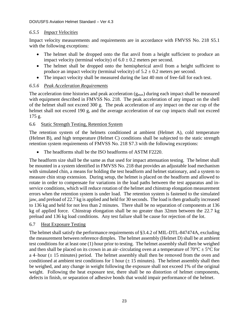#### <span id="page-22-0"></span>*6.5.5 Impact Velocities*

Impact velocity measurements and requirements are in accordance with FMVSS No. 218 S5.1 with the following exceptions:

- The helmet shall be dropped onto the flat anvil from a height sufficient to produce an impact velocity (terminal velocity) of  $6.0 \pm 0.2$  meters per second.
- The helmet shall be dropped onto the hemispherical anvil from a height sufficient to produce an impact velocity (terminal velocity) of  $5.2 \pm 0.2$  meters per second.
- The impact velocity shall be measured during the last 40 mm of free-fall for each test.

#### <span id="page-22-1"></span>*6.5.6 Peak Acceleration Requirements*

The acceleration time histories and peak acceleration  $(g_{max})$  during each impact shall be measured with equipment described in FMVSS No. 218. The peak acceleration of any impact on the shell of the helmet shall not exceed 300 g. The peak acceleration of any impact on the ear cup of the helmet shall not exceed 190 g, and the average acceleration of ear cup impacts shall not exceed 175 g.

#### <span id="page-22-2"></span>6.6 Static Strength Testing, Retention System

The retention system of the helmets conditioned at ambient (Helmet A), cold temperature (Helmet B), and high temperature (Helmet C) conditions shall be subjected to the static strength retention system requirements of FMVSS No. 218 S7.3 with the following exceptions:

• The headforms shall be the ISO headforms of ASTM F2220.

The headform size shall be the same as that used for impact attenuation testing. The helmet shall be mounted in a system identified in FMVSS No. 218 that provides an adjustable load mechanism with simulated chin, a means for holding the test headform and helmet stationary, and a system to measure chin strap extension. During setup, the helmet is placed on the headform and allowed to rotate in order to compensate for variations in the load paths between the test apparatus and inservice conditions, which will reduce rotation of the helmet and chinstrap elongation measurement errors when the retention system is under load. The retention system is fastened to the simulated jaw, and preload of 22.7 kg is applied and held for 30 seconds. The load is then gradually increased to 136 kg and held for not less than 2 minutes. There shall be no separation of components at 136 kg of applied force. Chinstrap elongation shall be no greater than 32mm between the 22.7 kg preload and 136 kg load conditions. Any test failure shall be cause for rejection of the lot.

#### <span id="page-22-3"></span>6.7 Heat Exposure Testing

The helmet shall satisfy the performance requirements of §3.4.2 of MIL-DTL-847474A, excluding the measurement between reference dimples. The helmet assembly (Helmet D) shall be at ambient test conditions for at least one (1) hour prior to testing. The helmet assembly shall then be weighed and then shall be placed on its crown in an air-circulating oven at a temperature of  $70^{\circ}$ C  $\pm$  5°C for a 4–hour  $(\pm 15 \text{ minutes})$  period. The helmet assembly shall then be removed from the oven and conditioned at ambient test conditions for 1 hour  $(\pm 15$  minutes). The helmet assembly shall then be weighed, and any change in weight following the exposure shall not exceed 1% of the original weight. Following the heat exposure test, there shall be no distortion of helmet components, defects in finish, or separation of adhesive bonds that would impair performance of the helmet.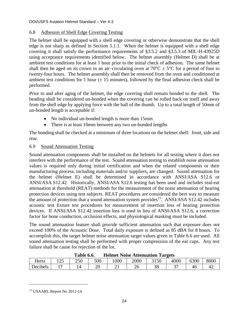#### <span id="page-23-0"></span>6.8 Adhesion of Shell Edge Covering Testing

The helmet shall be equipped with a shell edge covering or otherwise demonstrate that the shell edge is not sharp as defined in Section [5.1.1.](#page-11-1) When the helmet is equipped with a shell edge covering it shall satisfy the performance requirements of §3.5.2 and §3.5.3 of MIL-H-43925D using acceptance requirements identified below. The helmet assembly (Helmet D) shall be at ambient test conditions for at least 1 hour prior to the initial check of adhesion. The same helmet shall then be aged on its crown in an air-circulating oven at  $70^{\circ}$ C  $\pm$  5°C for a period of four to twenty-four hours. The helmet assembly shall then be removed from the oven and conditioned at ambient test conditions for 1 hour  $(\pm 15 \text{ minutes})$ , followed by the final adhesion check shall be performed.

Prior to and after aging of the helmet, the edge covering shall remain bonded to the shell. The beading shall be considered un-bonded when the covering can be rolled back on itself and away from the shell edge by applying force with the ball of the thumb. Up to a total length of 50mm of un-bonded length is acceptable if:

- No individual un-bonded length is more than 15mm
- There is at least 10mm between any two un-bonded lengths

The bonding shall be checked at a minimum of three locations on the helmet shell: front, side and rear.

#### <span id="page-23-1"></span>6.9 Sound Attenuation Testing

Sound attenuation components shall be installed on the helmets for all testing where it does not interfere with the performance of the test. Sound attenuation testing to establish noise attenuation values is required only during initial certification and when the related components or their manufacturing process, including materials and/or suppliers, are changed. Sound attenuation for the helmet (Helmet E) shall be determined in accordance with ANSI/ASA S12.6 or ANSI/ASA S12.42. Historically, ANSI/ASA S12.6 testing has been used and includes real-ear attenuation at threshold (REAT) methods for the measurement of the noise attenuation of hearing protection devices using test subjects. REAT procedures are considered the best way to measure the amount of protection that a sound attenuation system provides<sup>15</sup>. ANSI/ASA S12.42 includes acoustic test fixture test procedures for measurement of insertion loss of hearing protection devices. If ANSI/ASA S12.42 insertion loss is used in lieu of ANSI/ASA S12.6, a correction factor for bone conduction, occlusion effects, and physiological masking must be included.

The sound attenuation feature shall provide sufficient attenuation such that exposure does not exceed 100% of the Acoustic Dose. Total daily exposure is defined as 85 dBA for 8 hours. To accomplish this, the target helmet noise attenuation target values given in [Table 6.6](#page-23-2) are used. All sound attenuation testing shall be performed with proper compression of the ear cups. Any test failure shall be cause for rejection of the lot.

<span id="page-23-2"></span>

| 1 AVIC V.V.<br><b>Hennet Poise Authuation Targets</b> |                     |     |     |      |      |      |      |      |      |
|-------------------------------------------------------|---------------------|-----|-----|------|------|------|------|------|------|
| Hertz                                                 | $\Delta$ $\epsilon$ | 250 | 500 | 1000 | 2000 | 3150 | 4000 | 6300 | 8000 |
| Decibels                                              |                     |     | ∠∪  | ∠⊥   | 26   | 38   |      | 46   |      |

**Table 6.6. Helmet Noise Attenuation Targets**

 $\overline{\phantom{a}}$ 

<sup>15</sup> USAARL Report No 2012-14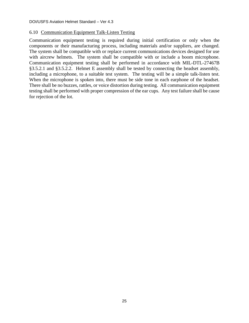#### <span id="page-24-0"></span>6.10 Communication Equipment Talk-Listen Testing

Communication equipment testing is required during initial certification or only when the components or their manufacturing process, including materials and/or suppliers, are changed. The system shall be compatible with or replace current communications devices designed for use with aircrew helmets. The system shall be compatible with or include a boom microphone. Communication equipment testing shall be performed in accordance with MIL-DTL-27467B §3.5.2.1 and §3.5.2.2. Helmet E assembly shall be tested by connecting the headset assembly, including a microphone, to a suitable test system. The testing will be a simple talk-listen test. When the microphone is spoken into, there must be side tone in each earphone of the headset. There shall be no buzzes, rattles, or voice distortion during testing. All communication equipment testing shall be performed with proper compression of the ear cups. Any test failure shall be cause for rejection of the lot.